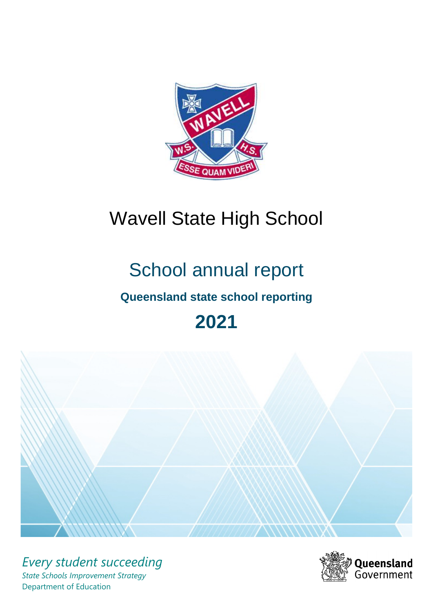

# Wavell State High School

# School annual report

# **Queensland state school reporting**

# **2021**



*Every student succeeding State Schools Improvement Strategy* Department of Education

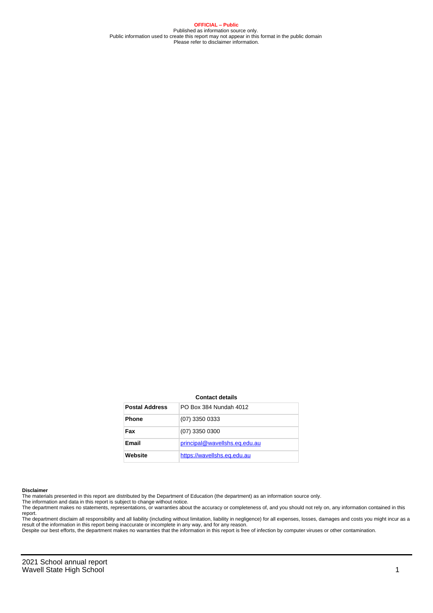**OFFICIAL – Public** Published as information source only. Public information used to create this report may not appear in this format in the public domain Please refer to disclaimer information.

#### **Contact details**

| <b>Postal Address</b> | PO Box 384 Nundah 4012        |
|-----------------------|-------------------------------|
| <b>Phone</b>          | $(07)$ 3350 0333              |
| Fax                   | $(07)$ 3350 0300              |
| Email                 | principal@wavellshs.eq.edu.au |
| Website               | https://wavellshs.eq.edu.au   |

#### **Disclaimer**

The materials presented in this report are distributed by the Department of Education (the department) as an information source only.

The information and data in this report is subject to change without notice.<br>The department makes no statements, representations, or warranties about the accuracy or completeness of, and you should not rely on, any informa report. The department disclaim all responsibility and all liability (including without limitation, liability in negligence) for all expenses, losses, damages and costs you might incur as a

result of the information in this report being inaccurate or incomplete in any way, and for any reason.

Despite our best efforts, the department makes no warranties that the information in this report is free of infection by computer viruses or other contamination.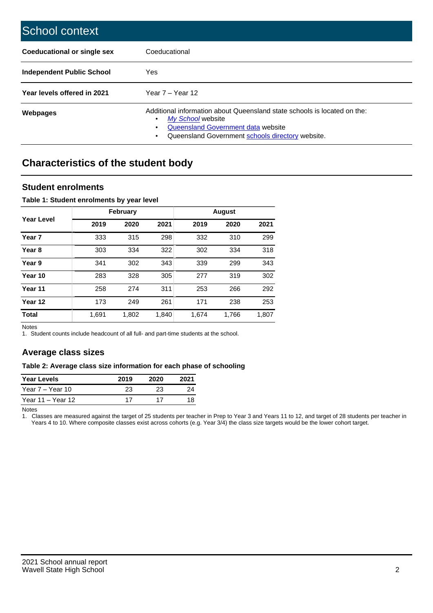| School context                     |                                                                                                                                                                                                   |
|------------------------------------|---------------------------------------------------------------------------------------------------------------------------------------------------------------------------------------------------|
| <b>Coeducational or single sex</b> | Coeducational                                                                                                                                                                                     |
| Independent Public School          | <b>Yes</b>                                                                                                                                                                                        |
| Year levels offered in 2021        | Year $7 -$ Year 12                                                                                                                                                                                |
| Webpages                           | Additional information about Queensland state schools is located on the:<br>My School website<br>٠<br>Queensland Government data website<br>Queensland Government schools directory website.<br>٠ |

# **Characteristics of the student body**

## **Student enrolments**

### **Table 1: Student enrolments by year level**

|                   |       | <b>February</b> |       |       | <b>August</b> |       |
|-------------------|-------|-----------------|-------|-------|---------------|-------|
| Year Level        | 2019  | 2020            | 2021  | 2019  | 2020          | 2021  |
| Year <sub>7</sub> | 333   | 315             | 298   | 332   | 310           | 299   |
| Year <sub>8</sub> | 303   | 334             | 322   | 302   | 334           | 318   |
| Year 9            | 341   | 302             | 343   | 339   | 299           | 343   |
| Year 10           | 283   | 328             | 305   | 277   | 319           | 302   |
| Year 11           | 258   | 274             | 311   | 253   | 266           | 292   |
| Year 12           | 173   | 249             | 261   | 171   | 238           | 253   |
| <b>Total</b>      | 1,691 | 1,802           | 1,840 | 1,674 | 1,766         | 1,807 |

Notes

1. Student counts include headcount of all full- and part-time students at the school.

# **Average class sizes**

#### **Table 2: Average class size information for each phase of schooling**

| <b>Year Levels</b> | 2019 | 2020 | 2021 |
|--------------------|------|------|------|
| Year 7 – Year 10   | 23   | 23   | 24   |
| Year 11 – Year 12  | 17   |      |      |

Notes

1. Classes are measured against the target of 25 students per teacher in Prep to Year 3 and Years 11 to 12, and target of 28 students per teacher in Years 4 to 10. Where composite classes exist across cohorts (e.g. Year 3/4) the class size targets would be the lower cohort target.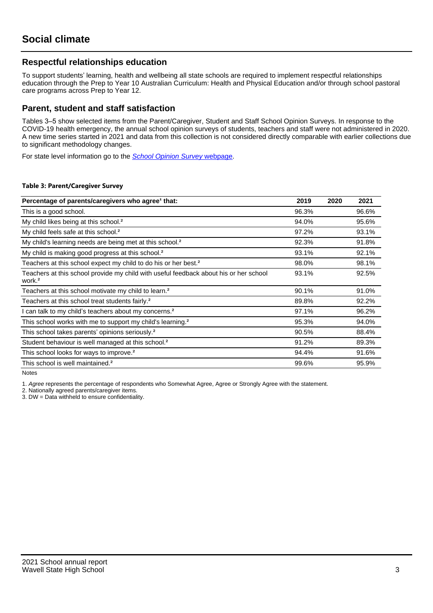# **Respectful relationships education**

To support students' learning, health and wellbeing all state schools are required to implement respectful relationships education through the Prep to Year 10 Australian Curriculum: Health and Physical Education and/or through school pastoral care programs across Prep to Year 12.

## **Parent, student and staff satisfaction**

Tables 3–5 show selected items from the Parent/Caregiver, Student and Staff School Opinion Surveys. In response to the COVID-19 health emergency, the annual school opinion surveys of students, teachers and staff were not administered in 2020. A new time series started in 2021 and data from this collection is not considered directly comparable with earlier collections due to significant methodology changes.

For state level information go to the **[School Opinion Survey](https://qed.qld.gov.au/publications/reports/statistics/schooling/schools/schoolopinionsurvey) webpage**.

#### **Table 3: Parent/Caregiver Survey**

| Percentage of parents/caregivers who agree <sup>1</sup> that:                                               | 2019  | 2020 | 2021  |
|-------------------------------------------------------------------------------------------------------------|-------|------|-------|
| This is a good school.                                                                                      | 96.3% |      | 96.6% |
| My child likes being at this school. <sup>2</sup>                                                           | 94.0% |      | 95.6% |
| My child feels safe at this school. <sup>2</sup>                                                            | 97.2% |      | 93.1% |
| My child's learning needs are being met at this school. <sup>2</sup>                                        | 92.3% |      | 91.8% |
| My child is making good progress at this school. <sup>2</sup>                                               | 93.1% |      | 92.1% |
| Teachers at this school expect my child to do his or her best. <sup>2</sup>                                 | 98.0% |      | 98.1% |
| Teachers at this school provide my child with useful feedback about his or her school<br>work. <sup>2</sup> | 93.1% |      | 92.5% |
| Teachers at this school motivate my child to learn. <sup>2</sup>                                            | 90.1% |      | 91.0% |
| Teachers at this school treat students fairly. <sup>2</sup>                                                 | 89.8% |      | 92.2% |
| I can talk to my child's teachers about my concerns. <sup>2</sup>                                           | 97.1% |      | 96.2% |
| This school works with me to support my child's learning. <sup>2</sup>                                      | 95.3% |      | 94.0% |
| This school takes parents' opinions seriously. <sup>2</sup>                                                 | 90.5% |      | 88.4% |
| Student behaviour is well managed at this school. <sup>2</sup>                                              | 91.2% |      | 89.3% |
| This school looks for ways to improve. <sup>2</sup>                                                         | 94.4% |      | 91.6% |
| This school is well maintained. <sup>2</sup>                                                                | 99.6% |      | 95.9% |

Notes

1. Agree represents the percentage of respondents who Somewhat Agree, Agree or Strongly Agree with the statement.

2. Nationally agreed parents/caregiver items.

3. DW = Data withheld to ensure confidentiality.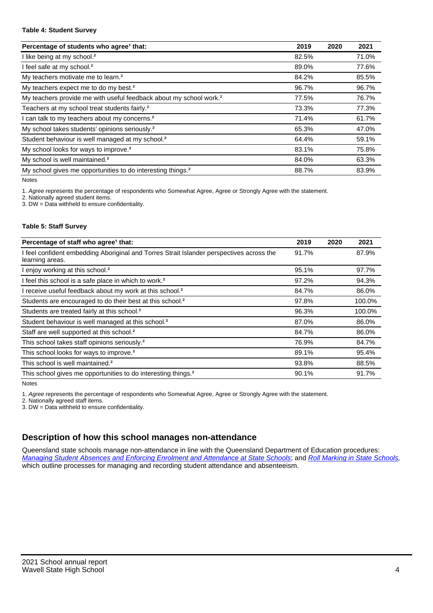#### **Table 4: Student Survey**

| Percentage of students who agree <sup>1</sup> that:                            | 2019  | 2020 | 2021  |
|--------------------------------------------------------------------------------|-------|------|-------|
| I like being at my school. <sup>2</sup>                                        | 82.5% |      | 71.0% |
| I feel safe at my school. <sup>2</sup>                                         | 89.0% |      | 77.6% |
| My teachers motivate me to learn. <sup>2</sup>                                 | 84.2% |      | 85.5% |
| My teachers expect me to do my best. <sup>2</sup>                              | 96.7% |      | 96.7% |
| My teachers provide me with useful feedback about my school work. <sup>2</sup> | 77.5% |      | 76.7% |
| Teachers at my school treat students fairly. <sup>2</sup>                      | 73.3% |      | 77.3% |
| I can talk to my teachers about my concerns. <sup>2</sup>                      | 71.4% |      | 61.7% |
| My school takes students' opinions seriously. <sup>2</sup>                     | 65.3% |      | 47.0% |
| Student behaviour is well managed at my school. <sup>2</sup>                   | 64.4% |      | 59.1% |
| My school looks for ways to improve. <sup>2</sup>                              | 83.1% |      | 75.8% |
| My school is well maintained. <sup>2</sup>                                     | 84.0% |      | 63.3% |
| My school gives me opportunities to do interesting things. <sup>2</sup>        | 88.7% |      | 83.9% |

Notes

1. Agree represents the percentage of respondents who Somewhat Agree, Agree or Strongly Agree with the statement.

2. Nationally agreed student items.

3. DW = Data withheld to ensure confidentiality.

### **Table 5: Staff Survey**

| Percentage of staff who agree <sup>1</sup> that:                                                            | 2019  | 2020 | 2021   |
|-------------------------------------------------------------------------------------------------------------|-------|------|--------|
| I feel confident embedding Aboriginal and Torres Strait Islander perspectives across the<br>learning areas. | 91.7% |      | 87.9%  |
| I enjoy working at this school. <sup>2</sup>                                                                | 95.1% |      | 97.7%  |
| I feel this school is a safe place in which to work. <sup>2</sup>                                           | 97.2% |      | 94.3%  |
| I receive useful feedback about my work at this school. <sup>2</sup>                                        | 84.7% |      | 86.0%  |
| Students are encouraged to do their best at this school. <sup>2</sup>                                       | 97.8% |      | 100.0% |
| Students are treated fairly at this school. <sup>2</sup>                                                    | 96.3% |      | 100.0% |
| Student behaviour is well managed at this school. <sup>2</sup>                                              | 87.0% |      | 86.0%  |
| Staff are well supported at this school. <sup>2</sup>                                                       | 84.7% |      | 86.0%  |
| This school takes staff opinions seriously. <sup>2</sup>                                                    | 76.9% |      | 84.7%  |
| This school looks for ways to improve. <sup>2</sup>                                                         | 89.1% |      | 95.4%  |
| This school is well maintained. <sup>2</sup>                                                                | 93.8% |      | 88.5%  |
| This school gives me opportunities to do interesting things. <sup>2</sup>                                   | 90.1% |      | 91.7%  |

Notes

1. Agree represents the percentage of respondents who Somewhat Agree, Agree or Strongly Agree with the statement.

2. Nationally agreed staff items.

3. DW = Data withheld to ensure confidentiality.

# **Description of how this school manages non-attendance**

Queensland state schools manage non-attendance in line with the Queensland Department of Education procedures: [Managing Student Absences and Enforcing Enrolment and Attendance at State Schools](https://ppr.qed.qld.gov.au/pp/managing-student-absences-and-enforcing-enrolment-and-attendance-at-state-schools-procedure); and [Roll Marking in State Schools,](https://ppr.qed.qld.gov.au/pp/roll-marking-in-state-schools-procedure) which outline processes for managing and recording student attendance and absenteeism.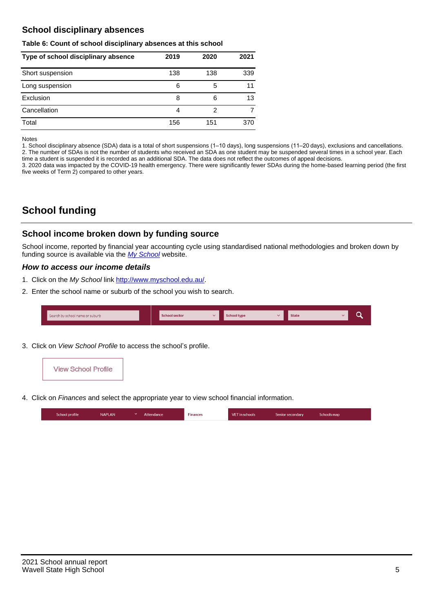# **School disciplinary absences**

#### **Table 6: Count of school disciplinary absences at this school**

| Type of school disciplinary absence | 2019 | 2020 | 2021 |
|-------------------------------------|------|------|------|
| Short suspension                    | 138  | 138  | 339  |
| Long suspension                     | 6    | 5    | 11   |
| Exclusion                           | 8    | 6    | 13   |
| Cancellation                        | 4    | 2    |      |
| Total                               | 156  | 151  | 370  |

Notes

1. School disciplinary absence (SDA) data is a total of short suspensions (1–10 days), long suspensions (11–20 days), exclusions and cancellations. 2. The number of SDAs is not the number of students who received an SDA as one student may be suspended several times in a school year. Each time a student is suspended it is recorded as an additional SDA. The data does not reflect the outcomes of appeal decisions.

3. 2020 data was impacted by the COVID-19 health emergency. There were significantly fewer SDAs during the home-based learning period (the first five weeks of Term 2) compared to other years.

# **School funding**

## **School income broken down by funding source**

School income, reported by financial year accounting cycle using standardised national methodologies and broken down by funding source is available via the [My School](http://www.myschool.edu.au/) website.

## **How to access our income details**

- 1. Click on the My School link <http://www.myschool.edu.au/>.
- 2. Enter the school name or suburb of the school you wish to search.

| Search by school name or suburb | <b>School sector</b> | School type | <b>State</b> |  |
|---------------------------------|----------------------|-------------|--------------|--|
|                                 |                      |             |              |  |

3. Click on View School Profile to access the school's profile.



4. Click on Finances and select the appropriate year to view school financial information.

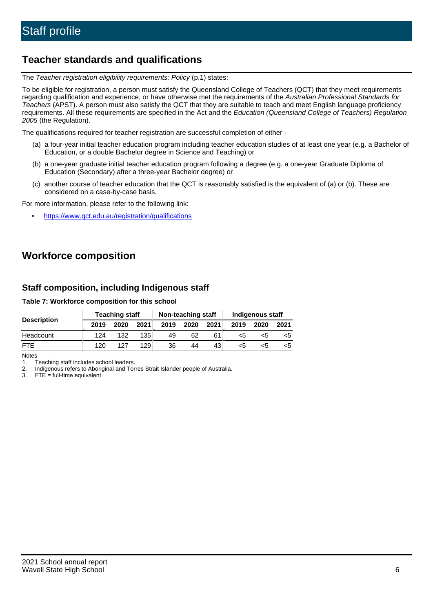# **Teacher standards and qualifications**

The Teacher registration eligibility requirements: Policy (p.1) states:

To be eligible for registration, a person must satisfy the Queensland College of Teachers (QCT) that they meet requirements regarding qualification and experience, or have otherwise met the requirements of the Australian Professional Standards for Teachers (APST). A person must also satisfy the QCT that they are suitable to teach and meet English language proficiency requirements. All these requirements are specified in the Act and the Education (Queensland College of Teachers) Regulation 2005 (the Regulation).

The qualifications required for teacher registration are successful completion of either -

- (a) a four-year initial teacher education program including teacher education studies of at least one year (e.g. a Bachelor of Education, or a double Bachelor degree in Science and Teaching) or
- (b) a one-year graduate initial teacher education program following a degree (e.g. a one-year Graduate Diploma of Education (Secondary) after a three-year Bachelor degree) or
- (c) another course of teacher education that the QCT is reasonably satisfied is the equivalent of (a) or (b). These are considered on a case-by-case basis.

For more information, please refer to the following link:

• <https://www.qct.edu.au/registration/qualifications>

# **Workforce composition**

# **Staff composition, including Indigenous staff**

### **Table 7: Workforce composition for this school**

|                    | <b>Teaching staff</b> |      |      | Non-teaching staff |      |      | Indigenous staff |      |      |
|--------------------|-----------------------|------|------|--------------------|------|------|------------------|------|------|
| <b>Description</b> | 2019                  | 2020 | 2021 | 2019               | 2020 | 2021 | 2019             | 2020 | 2021 |
| Headcount          | 124                   | 132  | 135  | 49                 | 62   | 61   | <5               | <5   |      |
| <b>FTE</b>         | 120                   | 127  | 129  | 36                 | 44   | 43   | <5               | ה>   |      |

Notes

1. Teaching staff includes school leaders.

2. Indigenous refers to Aboriginal and Torres Strait Islander people of Australia.

3. FTE = full-time equivalent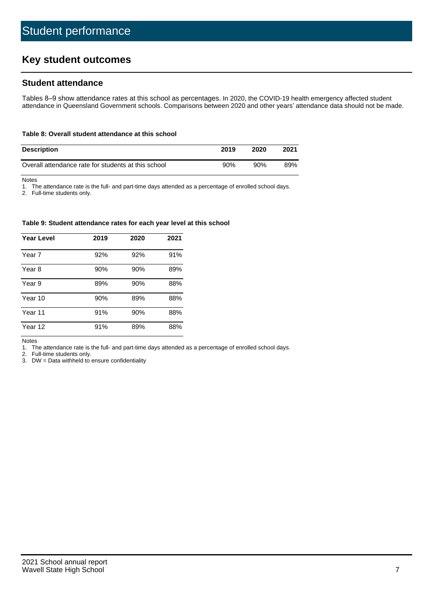# **Key student outcomes**

# **Student attendance**

Tables 8–9 show attendance rates at this school as percentages. In 2020, the COVID-19 health emergency affected student attendance in Queensland Government schools. Comparisons between 2020 and other years' attendance data should not be made.

#### **Table 8: Overall student attendance at this school**

| <b>Description</b>                                  | 2019 | 2020 | 2021 |
|-----------------------------------------------------|------|------|------|
| Overall attendance rate for students at this school | 90%  | 90%  | 89%  |

Notes

1. The attendance rate is the full- and part-time days attended as a percentage of enrolled school days.

2. Full-time students only.

#### **Table 9: Student attendance rates for each year level at this school**

| <b>Year Level</b> | 2019 | 2020 | 2021 |
|-------------------|------|------|------|
| Year 7            | 92%  | 92%  | 91%  |
| Year 8            | 90%  | 90%  | 89%  |
| Year 9            | 89%  | 90%  | 88%  |
| Year 10           | 90%  | 89%  | 88%  |
| Year 11           | 91%  | 90%  | 88%  |
| Year 12           | 91%  | 89%  | 88%  |

Notes

1. The attendance rate is the full- and part-time days attended as a percentage of enrolled school days.

2. Full-time students only.

3. DW = Data withheld to ensure confidentiality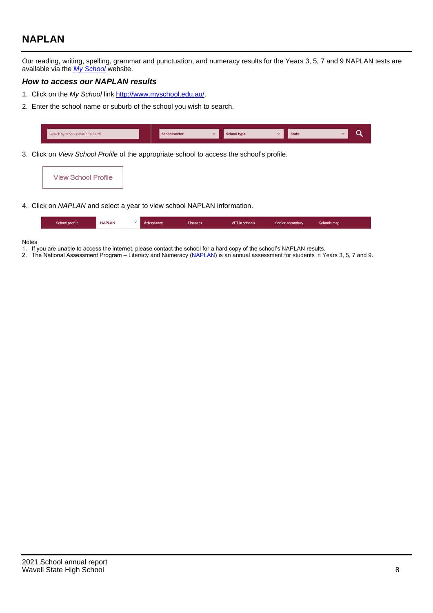# **NAPLAN**

Our reading, writing, spelling, grammar and punctuation, and numeracy results for the Years 3, 5, 7 and 9 NAPLAN tests are available via the [My School](http://www.myschool.edu.au/) website.

## **How to access our NAPLAN results**

- 1. Click on the My School link <http://www.myschool.edu.au/>.
- 2. Enter the school name or suburb of the school you wish to search.

| Search by school name or suburb | <b>School sector</b> | <b>School type</b>                        |          | <b>State</b> |  |
|---------------------------------|----------------------|-------------------------------------------|----------|--------------|--|
|                                 |                      |                                           |          |              |  |
|                                 |                      | $\sim$ $\sim$ $\sim$ $\sim$ $\sim$ $\sim$ | $\cdots$ |              |  |

3. Click on View School Profile of the appropriate school to access the school's profile.

| <b>View School Profile</b> |
|----------------------------|
|----------------------------|

4. Click on NAPLAN and select a year to view school NAPLAN information.

|  | School profile | <b>NAPLAN</b><br>$\sim$ 1 | Attendance | <b>Finances</b> | <b>VET</b> in schools | Senior secondary | Schools map |
|--|----------------|---------------------------|------------|-----------------|-----------------------|------------------|-------------|
|--|----------------|---------------------------|------------|-----------------|-----------------------|------------------|-------------|

#### Notes

- 1. If you are unable to access the internet, please contact the school for a hard copy of the school's NAPLAN results.
- 2. The National Assessment Program Literacy and Numeracy ([NAPLAN\)](http://www.nap.edu.au/naplan) is an annual assessment for students in Years 3, 5, 7 and 9.